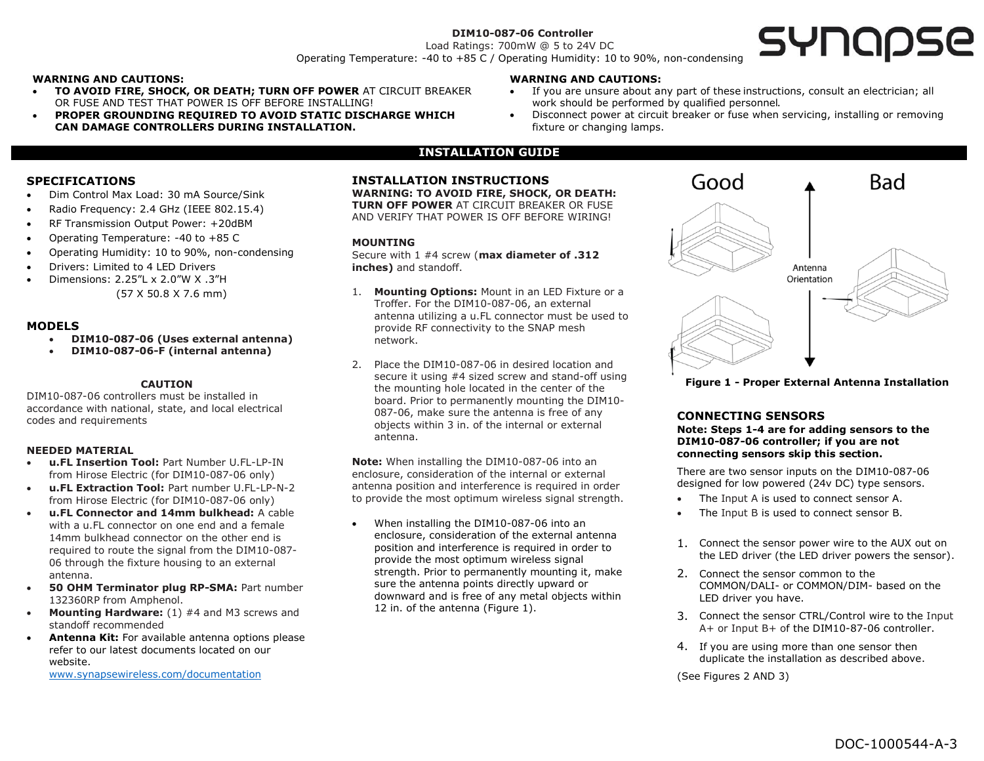## **DIM10-087-06 Controller**

Load Ratings: 700mW @ 5 to 24V DC Operating Temperature: -40 to +85 C / Operating Humidity: 10 to 90%, non-condensing

## **WARNING AND CAUTIONS:**

- **TO AVOID FIRE, SHOCK, OR DEATH; TURN OFF POWER** AT CIRCUIT BREAKER OR FUSE AND TEST THAT POWER IS OFF BEFORE INSTALLING!
- **PROPER GROUNDING REQUIRED TO AVOID STATIC DISCHARGE WHICH CAN DAMAGE CONTROLLERS DURING INSTALLATION.**

### **WARNING AND CAUTIONS:**

- If you are unsure about any part of these instructions, consult an electrician; all work should be performed by qualified personnel.
- Disconnect power at circuit breaker or fuse when servicing, installing or removing fixture or changing lamps.

## **INSTALLATION GUIDE**

## **SPECIFICATIONS**

- Dim Control Max Load: 30 mA Source/Sink
- Radio Frequency: 2.4 GHz (IEEE 802.15.4)
- RF Transmission Output Power: +20dBM
- Operating Temperature: -40 to +85 C
- Operating Humidity: 10 to 90%, non-condensing
- Drivers: Limited to 4 LED Drivers
- Dimensions: 2.25"L x 2.0"W X .3"H
	- (57 X 50.8 X 7.6 mm)

#### **MODELS**

- **DIM10-087-06 (Uses external antenna)**
- **DIM10-087-06-F (internal antenna)**

## **CAUTION**

DIM10-087-06 controllers must be installed in accordance with national, state, and local electrical codes and requirements

#### **NEEDED MATERIAL**

- **u.FL Insertion Tool:** Part Number U.FL-LP-IN from Hirose Electric (for DIM10-087-06 only)
- **u.FL Extraction Tool:** Part number U.FL-LP-N-2 from Hirose Electric (for DIM10-087-06 only)
- **u.FL Connector and 14mm bulkhead:** A cable with a u.FL connector on one end and a female 14mm bulkhead connector on the other end is required to route the signal from the DIM10-087- 06 through the fixture housing to an external antenna.
- **50 OHM Terminator plug RP-SMA:** Part number 132360RP from Amphenol.
- **Mounting Hardware:** (1) #4 and M3 screws and standoff recommended
- **Antenna Kit:** For available antenna options please refer to our latest documents located on our website. [www.synapsewireless.com/documentation](http://www.synapsewireless.com/documentation)

## **INSTALLATION INSTRUCTIONS**

**WARNING: TO AVOID FIRE, SHOCK, OR DEATH: TURN OFF POWER** AT CIRCUIT BREAKER OR FUSE AND VERIFY THAT POWER IS OFF BEFORE WIRING!

#### **MOUNTING**

Secure with 1 #4 screw (**max diameter of .312 inches)** and standoff.

- 1. **Mounting Options:** Mount in an LED Fixture or a Troffer. For the DIM10-087-06, an external antenna utilizing a u.FL connector must be used to provide RF connectivity to the SNAP mesh network.
- 2. Place the DIM10-087-06 in desired location and secure it using #4 sized screw and stand-off using the mounting hole located in the center of the board. Prior to permanently mounting the DIM10- 087-06, make sure the antenna is free of any objects within 3 in. of the internal or external antenna.

**Note:** When installing the DIM10-087-06 into an enclosure, consideration of the internal or external antenna position and interference is required in order to provide the most optimum wireless signal strength.

• When installing the DIM10-087-06 into an enclosure, consideration of the external antenna position and interference is required in order to provide the most optimum wireless signal strength. Prior to permanently mounting it, make sure the antenna points directly upward or downward and is free of any metal objects within 12 in. of the antenna (Figure 1).



**Figure 1 - Proper External Antenna Installation**

### **CONNECTING SENSORS**

**Note: Steps 1-4 are for adding sensors to the DIM10-087-06 controller; if you are not connecting sensors skip this section.** 

There are two sensor inputs on the DIM10-087-06 designed for low powered (24v DC) type sensors.

- The Input A is used to connect sensor A.
- The Input B is used to connect sensor B.
- 1. Connect the sensor power wire to the AUX out on the LED driver (the LED driver powers the sensor).
- 2. Connect the sensor common to the COMMON/DALI- or COMMON/DIM- based on the LED driver you have.
- 3. Connect the sensor CTRL/Control wire to the Input A+ or Input B+ of the DIM10-87-06 controller.
- 4. If you are using more than one sensor then duplicate the installation as described above.

(See Figures 2 AND 3)

# SYNQQSE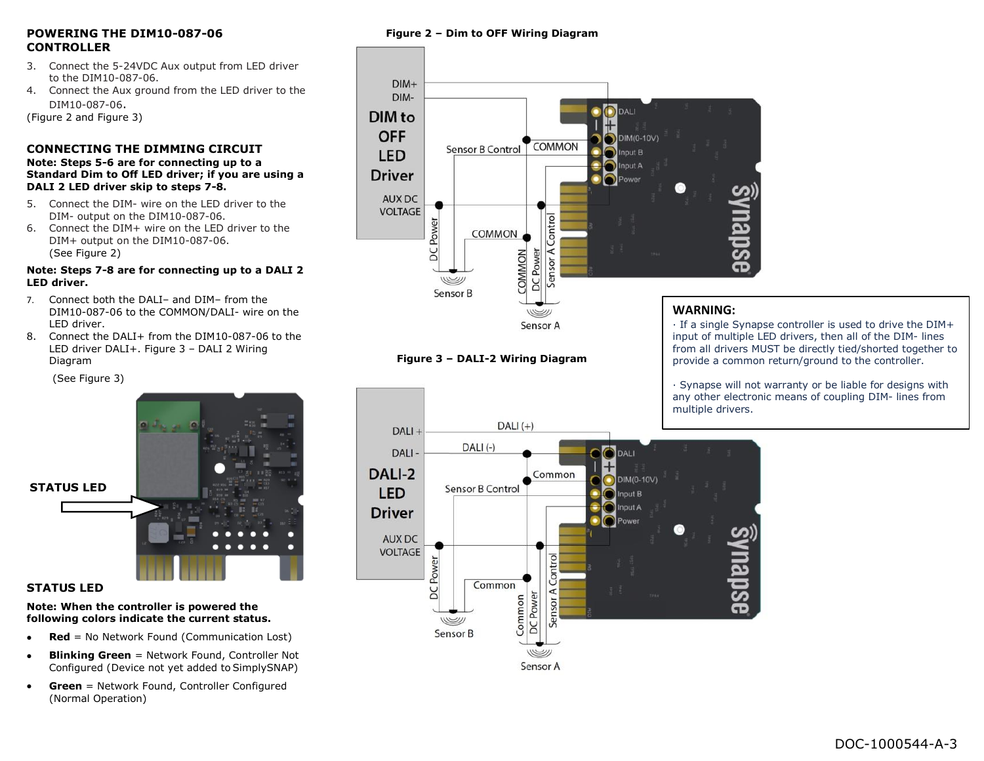## **POWERING THE DIM10-087-06 CONTROLLER**

- 3. Connect the 5-24VDC Aux output from LED driver to the DIM10-087-06.
- 4. Connect the Aux ground from the LED driver to the DIM10-087-06.

(Figure 2 and Figure 3)

## **CONNECTING THE DIMMING CIRCUIT Note: Steps 5-6 are for connecting up to a Standard Dim to Off LED driver; if you are using a DALI 2 LED driver skip to steps 7-8.**

- 5. Connect the DIM- wire on the LED driver to the DIM- output on the DIM10-087-06.
- 6. Connect the DIM+ wire on the LED driver to the DIM+ output on the DIM10-087-06. (See Figure 2)

## **Note: Steps 7-8 are for connecting up to a DALI 2 LED driver.**

- 7. Connect both the DALI– and DIM– from the DIM10-087-06 to the COMMON/DALI- wire on the LED driver.
- 8. Connect the DALI+ from the DIM10-087-06 to the LED driver DALI+. Figure 3 – DALI 2 Wiring Diagram

(See Figure 3)



# **STATUS LED**

## **Note: When the controller is powered the following colors indicate the current status.**

- **Red** = No Network Found (Communication Lost)
- **Blinking Green** = Network Found, Controller Not Configured (Device not yet added to SimplySNAP)
- **Green** = Network Found, Controller Configured (Normal Operation)

# **Figure 2 – Dim to OFF Wiring Diagram**



# **Figure 3 – DALI-2 Wiring Diagram**

· If a single Synapse controller is used to drive the DIM+ input of multiple LED drivers, then all of the DIM- lines from all drivers MUST be directly tied/shorted together to provide a common return/ground to the controller.

· Synapse will not warranty or be liable for designs with any other electronic means of coupling DIM- lines from multiple drivers.

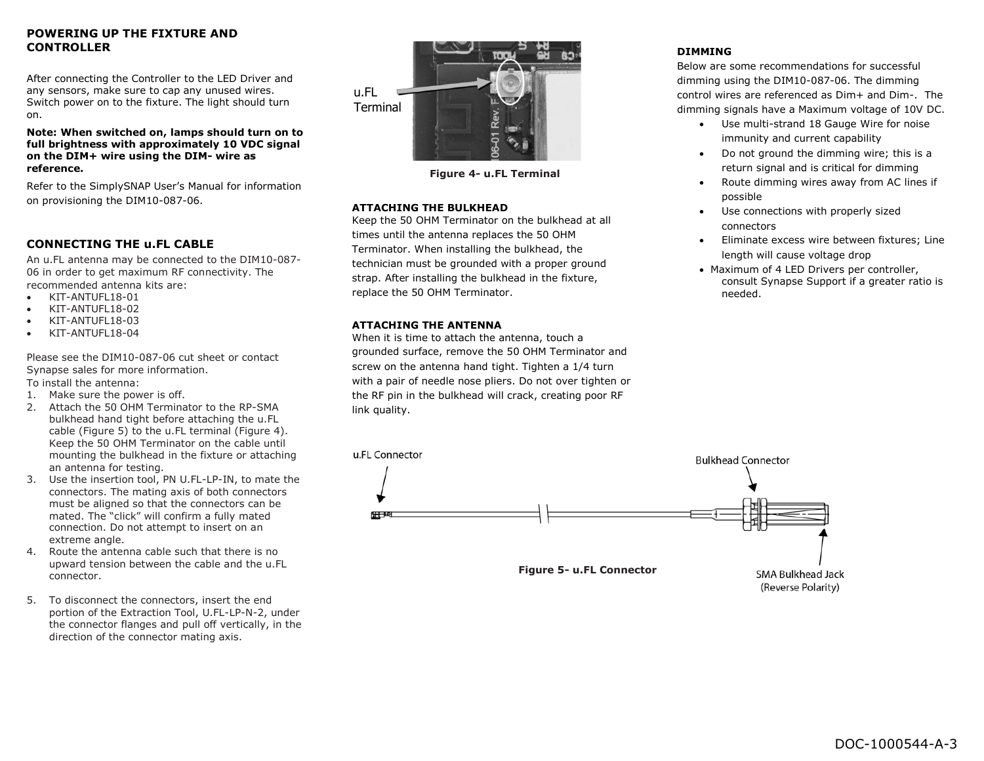## **POWERING UP THE FIXTURE AND CONTROLLER**

After connecting the Controller to the LED Driver and any sensors, make sure to cap any unused wires. Switch power on to the fixture. The light should turn on.

**Note: When switched on, lamps should turn on to full brightness with approximately 10 VDC signal on the DIM+ wire using the DIM- wire as reference.**

Refer to the SimplySNAP User's Manual for information on provisioning the DIM10-087-06.

## **CONNECTING THE u.FL CABLE**

An u.FL antenna may be connected to the DIM10-087- 06 in order to get maximum RF connectivity. The recommended antenna kits are:

- KIT-ANTUFL18-01
- KIT-ANTUFL18-02
- KIT-ANTUFL18-03
- KIT-ANTUFL18-04

Please see the DIM10-087-06 cut sheet or contact Synapse sales for more information.

To install the antenna:

- 1. Make sure the power is off.
- 2. Attach the 50 OHM Terminator to the RP-SMA bulkhead hand tight before attaching the u.FL cable (Figure 5) to the u.FL terminal (Figure 4). Keep the 50 OHM Terminator on the cable until mounting the bulkhead in the fixture or attaching an antenna for testing.
- 3. Use the insertion tool, PN U.FL-LP-IN, to mate the connectors. The mating axis of both connectors must be aligned so that the connectors can be mated. The "click" will confirm a fully mated connection. Do not attempt to insert on an extreme angle.
- 4. Route the antenna cable such that there is no upward tension between the cable and the u.FL connector.
- 5. To disconnect the connectors, insert the end portion of the Extraction Tool, U.FL-LP-N-2, under the connector flanges and pull off vertically, in the direction of the connector mating axis.



**Figure 4- u.FL Terminal**

## **ATTACHING THE BULKHEAD**

Keep the 50 OHM Terminator on the bulkhead at all times until the antenna replaces the 50 OHM Terminator. When installing the bulkhead, the technician must be grounded with a proper ground strap. After installing the bulkhead in the fixture, replace the 50 OHM Terminator.

## **ATTACHING THE ANTENNA**

When it is time to attach the antenna, touch a grounded surface, remove the 50 OHM Terminator and screw on the antenna hand tight. Tighten a 1/4 turn with a pair of needle nose pliers. Do not over tighten or the RF pin in the bulkhead will crack, creating poor RF link quality.



# **DIMMING**

Below are some recommendations for successful dimming using the DIM10-087-06. The dimming control wires are referenced as Dim+ and Dim-. The dimming signals have a Maximum voltage of 10V DC.

- Use multi-strand 18 Gauge Wire for noise immunity and current capability
- Do not ground the dimming wire; this is a return signal and is critical for dimming
- Route dimming wires away from AC lines if possible
- Use connections with properly sized connectors
- Eliminate excess wire between fixtures; Line length will cause voltage drop
- Maximum of 4 LED Drivers per controller, consult Synapse Support if a greater ratio is needed.